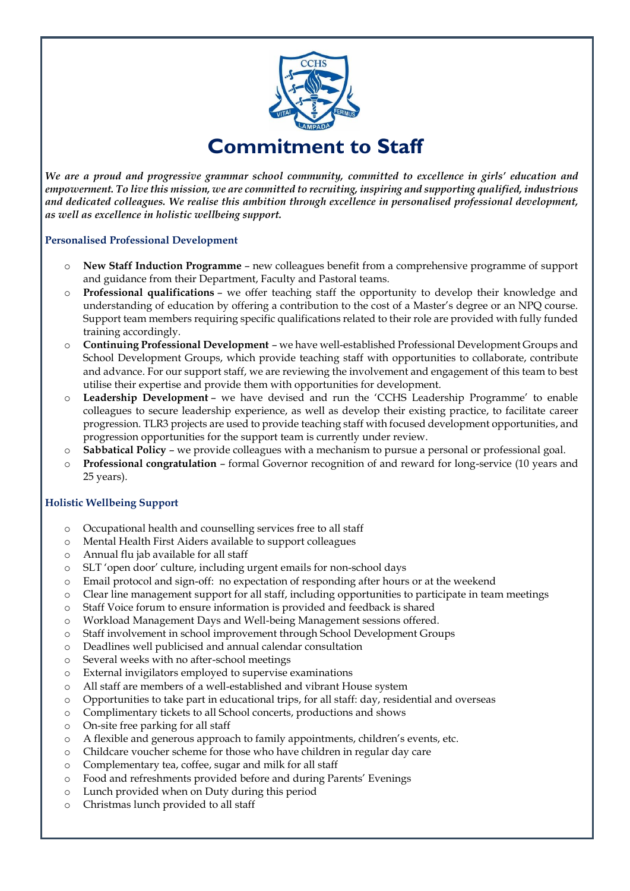

*We are a proud and progressive grammar school community, committed to excellence in girls' education and empowerment. To live this mission, we are committed to recruiting, inspiring and supporting qualified, industrious and dedicated colleagues. We realise this ambition through excellence in personalised professional development, as well as excellence in holistic wellbeing support.*

#### **Personalised Professional Development**

- o **New Staff Induction Programme** new colleagues benefit from a comprehensive programme of support and guidance from their Department, Faculty and Pastoral teams.
- o **Professional qualifications** we offer teaching staff the opportunity to develop their knowledge and understanding of education by offering a contribution to the cost of a Master's degree or an NPQ course. Support team members requiring specific qualifications related to their role are provided with fully funded training accordingly.
- o **Continuing Professional Development** we have well-established Professional Development Groups and School Development Groups, which provide teaching staff with opportunities to collaborate, contribute and advance. For our support staff, we are reviewing the involvement and engagement of this team to best utilise their expertise and provide them with opportunities for development.
- o **Leadership Development** we have devised and run the 'CCHS Leadership Programme' to enable colleagues to secure leadership experience, as well as develop their existing practice, to facilitate career progression. TLR3 projects are used to provide teaching staff with focused development opportunities, and progression opportunities for the support team is currently under review.
- o **Sabbatical Policy** we provide colleagues with a mechanism to pursue a personal or professional goal.
- o **Professional congratulation** formal Governor recognition of and reward for long-service (10 years and 25 years).

#### **Holistic Wellbeing Support**

- o Occupational health and counselling services free to all staff
- o Mental Health First Aiders available to support colleagues
- o Annual flu jab available for all staff
- o SLT 'open door' culture, including urgent emails for non-school days
- o Email protocol and sign-off: no expectation of responding after hours or at the weekend
- o Clear line management support for all staff, including opportunities to participate in team meetings
- o Staff Voice forum to ensure information is provided and feedback is shared
- o Workload Management Days and Well-being Management sessions offered.
- o Staff involvement in school improvement through School Development Groups
- o Deadlines well publicised and annual calendar consultation
- o Several weeks with no after-school meetings
- o External invigilators employed to supervise examinations
- o All staff are members of a well-established and vibrant House system
- o Opportunities to take part in educational trips, for all staff: day, residential and overseas
- o Complimentary tickets to all School concerts, productions and shows
- o On-site free parking for all staff
- o A flexible and generous approach to family appointments, children's events, etc.
- o Childcare voucher scheme for those who have children in regular day care
- o Complementary tea, coffee, sugar and milk for all staff
- o Food and refreshments provided before and during Parents' Evenings
- o Lunch provided when on Duty during this period
- o Christmas lunch provided to all staff